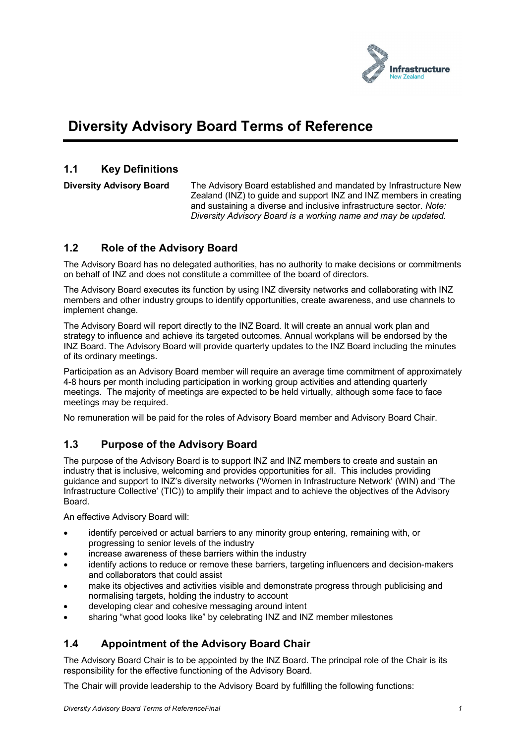

# **Diversity Advisory Board Terms of Reference**

#### **1.1 Key Definitions**

**Diversity Advisory Board** The Advisory Board established and mandated by Infrastructure New Zealand (INZ) to guide and support INZ and INZ members in creating and sustaining a diverse and inclusive infrastructure sector. *Note: Diversity Advisory Board is a working name and may be updated.*

# **1.2 Role of the Advisory Board**

The Advisory Board has no delegated authorities, has no authority to make decisions or commitments on behalf of INZ and does not constitute a committee of the board of directors.

The Advisory Board executes its function by using INZ diversity networks and collaborating with INZ members and other industry groups to identify opportunities, create awareness, and use channels to implement change.

The Advisory Board will report directly to the INZ Board. It will create an annual work plan and strategy to influence and achieve its targeted outcomes. Annual workplans will be endorsed by the INZ Board. The Advisory Board will provide quarterly updates to the INZ Board including the minutes of its ordinary meetings.

Participation as an Advisory Board member will require an average time commitment of approximately 4-8 hours per month including participation in working group activities and attending quarterly meetings. The majority of meetings are expected to be held virtually, although some face to face meetings may be required.

No remuneration will be paid for the roles of Advisory Board member and Advisory Board Chair.

# **1.3 Purpose of the Advisory Board**

The purpose of the Advisory Board is to support INZ and INZ members to create and sustain an industry that is inclusive, welcoming and provides opportunities for all. This includes providing guidance and support to INZ's diversity networks ('Women in Infrastructure Network' (WIN) and 'The Infrastructure Collective' (TIC)) to amplify their impact and to achieve the objectives of the Advisory Board.

An effective Advisory Board will:

- identify perceived or actual barriers to any minority group entering, remaining with, or progressing to senior levels of the industry
- increase awareness of these barriers within the industry
- identify actions to reduce or remove these barriers, targeting influencers and decision-makers and collaborators that could assist
- make its objectives and activities visible and demonstrate progress through publicising and normalising targets, holding the industry to account
- developing clear and cohesive messaging around intent
- sharing "what good looks like" by celebrating INZ and INZ member milestones

#### **1.4 Appointment of the Advisory Board Chair**

The Advisory Board Chair is to be appointed by the INZ Board. The principal role of the Chair is its responsibility for the effective functioning of the Advisory Board.

The Chair will provide leadership to the Advisory Board by fulfilling the following functions: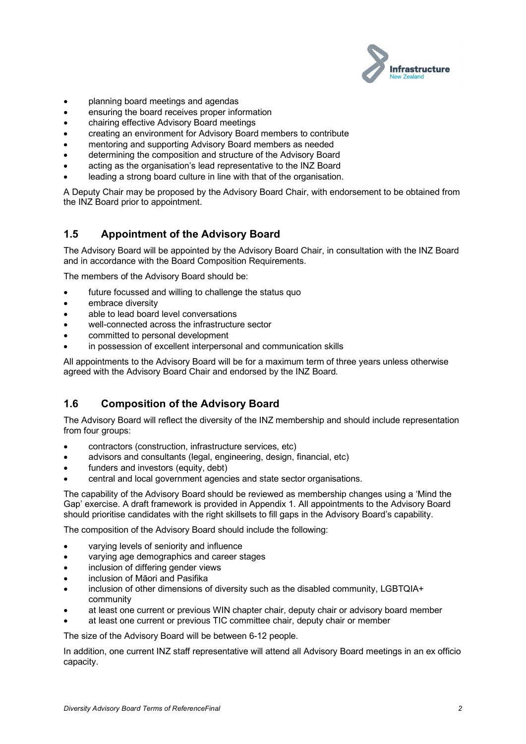

- planning board meetings and agendas
- ensuring the board receives proper information
- chairing effective Advisory Board meetings
- creating an environment for Advisory Board members to contribute
- mentoring and supporting Advisory Board members as needed
- determining the composition and structure of the Advisory Board
- acting as the organisation's lead representative to the INZ Board
- leading a strong board culture in line with that of the organisation.

A Deputy Chair may be proposed by the Advisory Board Chair, with endorsement to be obtained from the INZ Board prior to appointment.

#### **1.5 Appointment of the Advisory Board**

The Advisory Board will be appointed by the Advisory Board Chair, in consultation with the INZ Board and in accordance with the Board Composition Requirements.

The members of the Advisory Board should be:

- future focussed and willing to challenge the status quo
- embrace diversity
- able to lead board level conversations
- well-connected across the infrastructure sector
- committed to personal development
- in possession of excellent interpersonal and communication skills

All appointments to the Advisory Board will be for a maximum term of three years unless otherwise agreed with the Advisory Board Chair and endorsed by the INZ Board.

#### **1.6 Composition of the Advisory Board**

The Advisory Board will reflect the diversity of the INZ membership and should include representation from four groups:

- contractors (construction, infrastructure services, etc)
- advisors and consultants (legal, engineering, design, financial, etc)
- funders and investors (equity, debt)
- central and local government agencies and state sector organisations.

The capability of the Advisory Board should be reviewed as membership changes using a 'Mind the Gap' exercise. A draft framework is provided in Appendix 1. All appointments to the Advisory Board should prioritise candidates with the right skillsets to fill gaps in the Advisory Board's capability.

The composition of the Advisory Board should include the following:

- varying levels of seniority and influence
- varying age demographics and career stages
- inclusion of differing gender views
- inclusion of Māori and Pasifika
- inclusion of other dimensions of diversity such as the disabled community, LGBTQIA+ community
- at least one current or previous WIN chapter chair, deputy chair or advisory board member
- at least one current or previous TIC committee chair, deputy chair or member

The size of the Advisory Board will be between 6-12 people.

In addition, one current INZ staff representative will attend all Advisory Board meetings in an ex officio capacity.